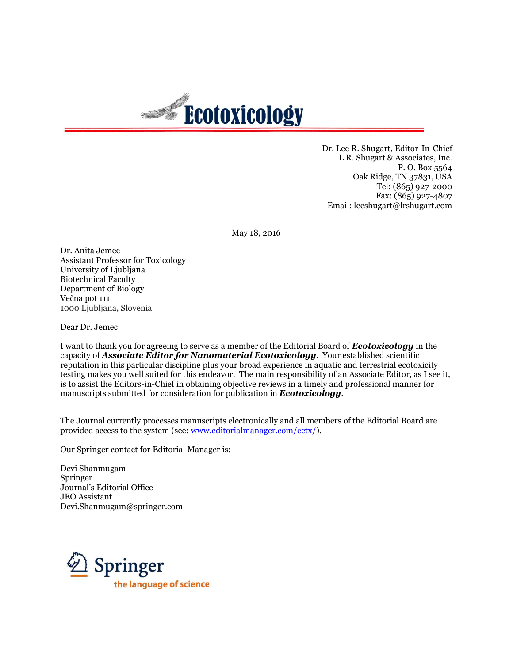

Dr. Lee R. Shugart, Editor-In-Chief L.R. Shugart & Associates, Inc. P. O. Box 5564 Oak Ridge, TN 37831, USA Tel: (865) 927-2000 Fax: (865) 927-4807 Email: leeshugart@lrshugart.com

May 18, 2016

Dr. Anita Jemec Assistant Professor for Toxicology University of Ljubljana Biotechnical Faculty Department of Biology Večna pot 111 1000 Ljubljana, Slovenia

Dear Dr. Jemec

I want to thank you for agreeing to serve as a member of the Editorial Board of *Ecotoxicology* in the capacity of *Associate Editor for Nanomaterial Ecotoxicology*. Your established scientific reputation in this particular discipline plus your broad experience in aquatic and terrestrial ecotoxicity testing makes you well suited for this endeavor. The main responsibility of an Associate Editor, as I see it, is to assist the Editors-in-Chief in obtaining objective reviews in a timely and professional manner for manuscripts submitted for consideration for publication in *Ecotoxicology*.

The Journal currently processes manuscripts electronically and all members of the Editorial Board are provided access to the system (see: [www.editorialmanager.com/ectx/\)](http://www.editorialmanager.com/ectx/).

Our Springer contact for Editorial Manager is:

Devi Shanmugam Springer Journal's Editorial Office JEO Assistant [Devi.Shanmugam@springer.com](mailto:Devi.Shanmugam@springer.com)